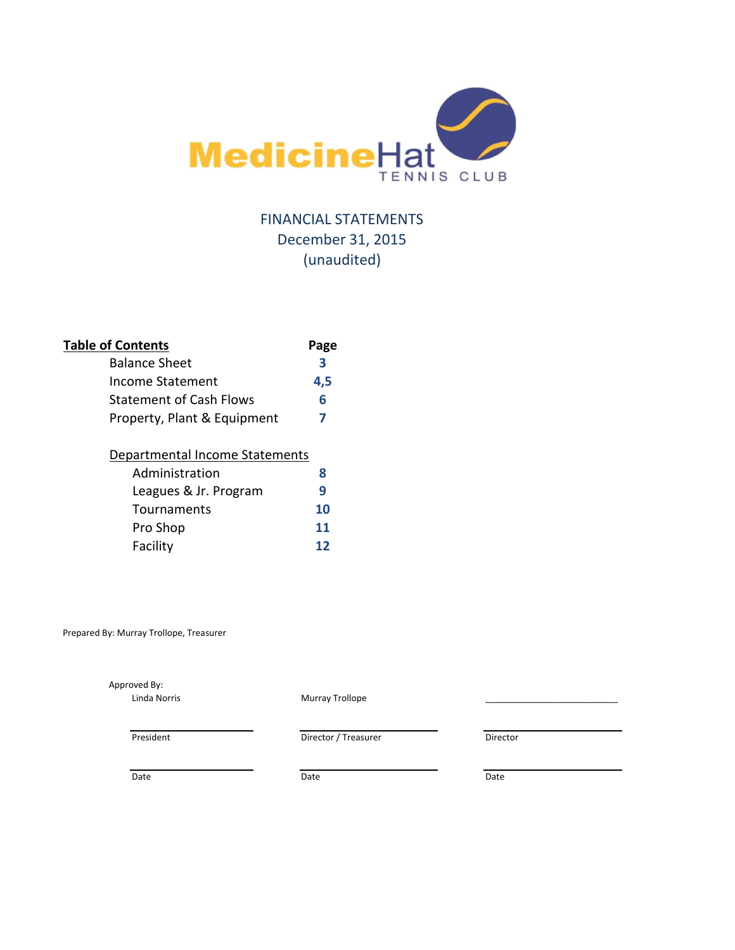

## FINANCIAL STATEMENTS December 31, 2015 (unaudited)

| <b>Table of Contents</b>       | Page |
|--------------------------------|------|
| <b>Balance Sheet</b>           | 3    |
| Income Statement               | 4,5  |
| <b>Statement of Cash Flows</b> | 6    |
| Property, Plant & Equipment    | 7    |
| Departmental Income Statements |      |
| Administration                 | 8    |
| Leagues & Jr. Program          |      |
|                                |      |

Tournaments **10** Pro Shop **11** Facility **12**

Prepared By: Murray Trollope, Treasurer

Approved By:

Linda Norris **Murray Trollope** Murray Trollope

President Director / Treasurer Director Director

Date Date Date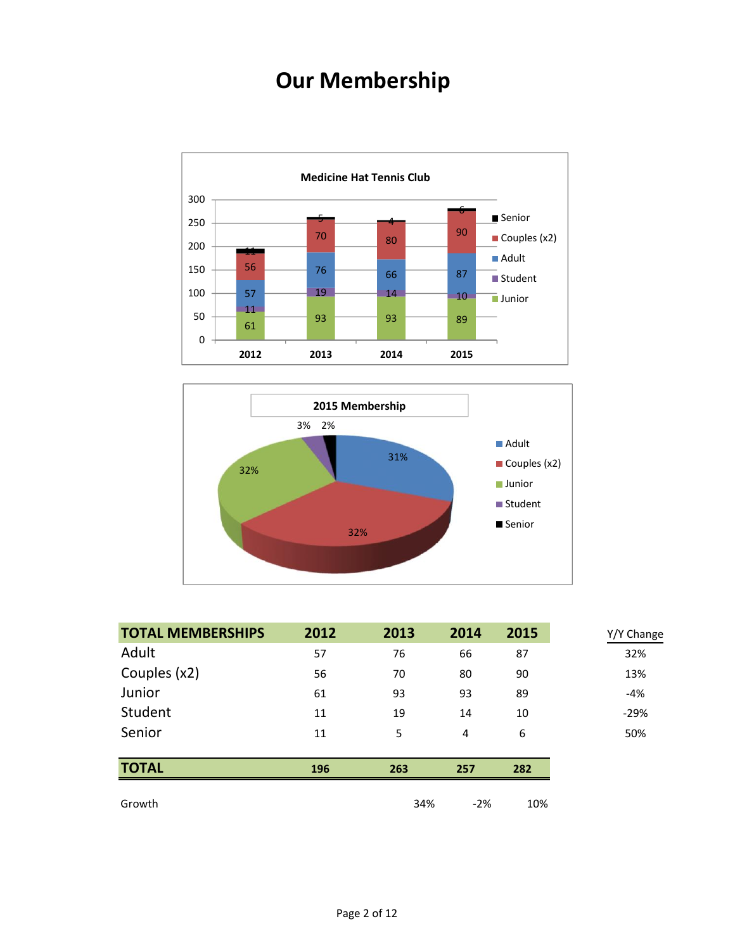## **Our Membership**





| <b>TOTAL MEMBERSHIPS</b> | 2012 | 2013 | 2014           | 2015 | Y/Y Change |
|--------------------------|------|------|----------------|------|------------|
| Adult                    | 57   | 76   | 66             | 87   | 32%        |
| Couples (x2)             | 56   | 70   | 80             | 90   | 13%        |
| Junior                   | 61   | 93   | 93             | 89   | $-4%$      |
| Student                  | 11   | 19   | 14             | 10   | $-29%$     |
| Senior                   | 11   | 5    | $\overline{4}$ | 6    | 50%        |
|                          |      |      |                |      |            |
| <b>TOTAL</b>             | 196  | 263  | 257            | 282  |            |
|                          |      |      |                |      |            |
| Growth                   |      | 34%  | $-2%$          | 10%  |            |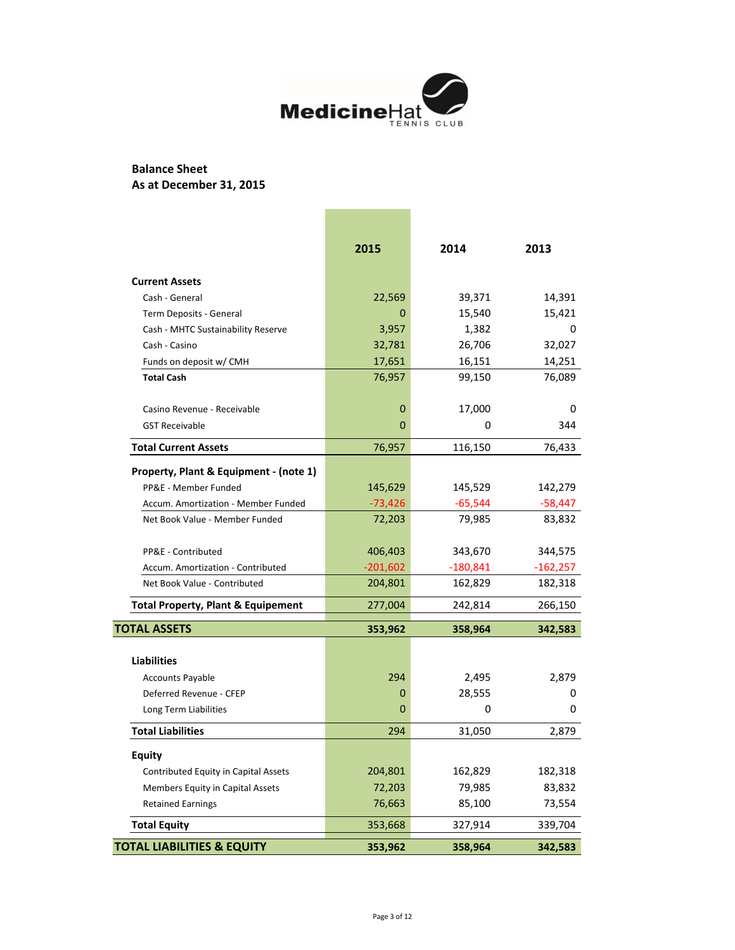

## **Balance Sheet As at December 31, 2015**

|                                                    | 2015       | 2014            | 2013       |
|----------------------------------------------------|------------|-----------------|------------|
| <b>Current Assets</b>                              |            |                 |            |
| Cash - General                                     | 22,569     | 39,371          | 14,391     |
| Term Deposits - General                            | 0          | 15,540          | 15,421     |
| Cash - MHTC Sustainability Reserve                 | 3,957      | 1,382           | 0          |
| Cash - Casino                                      | 32,781     | 26,706          | 32,027     |
| Funds on deposit w/ CMH                            | 17,651     | 16,151          | 14,251     |
| <b>Total Cash</b>                                  | 76,957     | 99,150          | 76,089     |
| Casino Revenue - Receivable                        | 0          | 17,000          | 0          |
| <b>GST Receivable</b>                              | 0          | 0               | 344        |
| <b>Total Current Assets</b>                        | 76,957     | 116,150         | 76,433     |
| Property, Plant & Equipment - (note 1)             |            |                 |            |
| PP&E - Member Funded                               | 145,629    | 145,529         | 142,279    |
| Accum. Amortization - Member Funded                | $-73,426$  | $-65,544$       | $-58,447$  |
| Net Book Value - Member Funded                     | 72,203     | 79,985          | 83,832     |
| PP&E - Contributed                                 | 406,403    | 343,670         | 344,575    |
| Accum. Amortization - Contributed                  | $-201,602$ | $-180,841$      | $-162,257$ |
| Net Book Value - Contributed                       | 204,801    | 162,829         | 182,318    |
| <b>Total Property, Plant &amp; Equipement</b>      | 277,004    | 242,814         | 266,150    |
| <b>TOTAL ASSETS</b>                                | 353,962    | 358,964         | 342,583    |
|                                                    |            |                 |            |
| <b>Liabilities</b>                                 |            |                 |            |
| <b>Accounts Payable</b><br>Deferred Revenue - CFEP | 294<br>0   | 2,495<br>28,555 | 2,879<br>0 |
| Long Term Liabilities                              | 0          | 0               | 0          |
|                                                    |            |                 |            |
| <b>Total Liabilities</b>                           | 294        | 31,050          | 2,879      |
| <b>Equity</b>                                      |            |                 |            |
| Contributed Equity in Capital Assets               | 204,801    | 162,829         | 182,318    |
| Members Equity in Capital Assets                   | 72,203     | 79,985          | 83,832     |
| <b>Retained Earnings</b>                           | 76,663     | 85,100          | 73,554     |
| <b>Total Equity</b>                                | 353,668    | 327,914         | 339,704    |
| <b>TOTAL LIABILITIES &amp; EQUITY</b>              | 353,962    | 358,964         | 342,583    |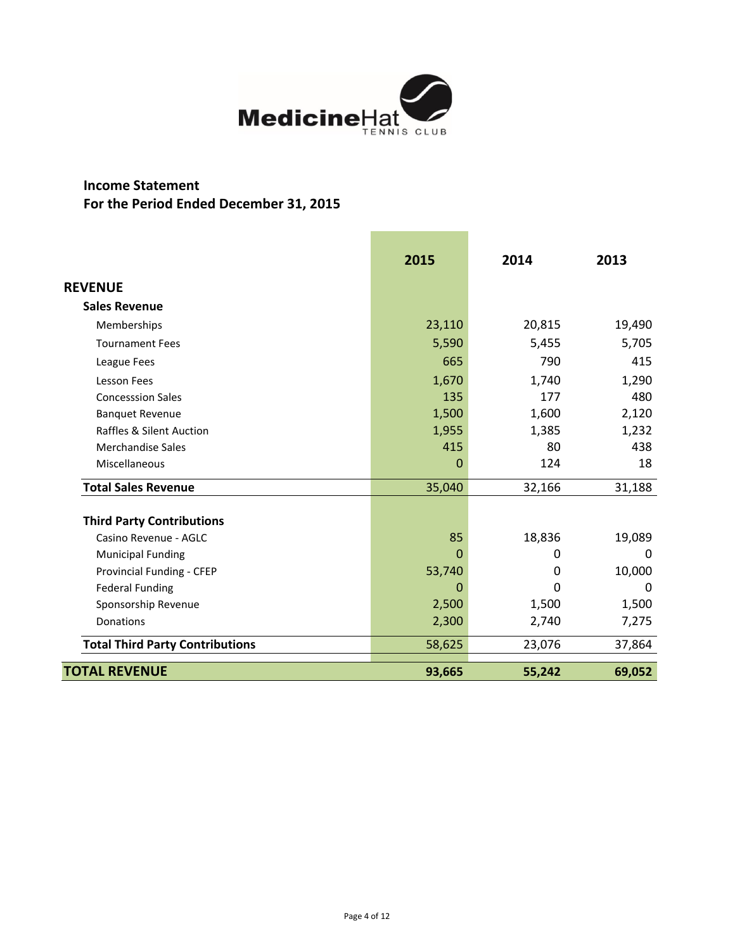

## **Income Statement For the Period Ended December 31, 2015**

|                                        | 2015     | 2014   | 2013         |  |
|----------------------------------------|----------|--------|--------------|--|
| <b>REVENUE</b>                         |          |        |              |  |
| <b>Sales Revenue</b>                   |          |        |              |  |
| Memberships                            | 23,110   | 20,815 | 19,490       |  |
| <b>Tournament Fees</b>                 | 5,590    | 5,455  | 5,705        |  |
| League Fees                            | 665      | 790    | 415          |  |
| <b>Lesson Fees</b>                     | 1,670    | 1,740  | 1,290        |  |
| <b>Concesssion Sales</b>               | 135      | 177    | 480          |  |
| <b>Banquet Revenue</b>                 | 1,500    | 1,600  | 2,120        |  |
| <b>Raffles &amp; Silent Auction</b>    | 1,955    | 1,385  | 1,232        |  |
| <b>Merchandise Sales</b>               | 415      | 80     | 438          |  |
| Miscellaneous                          | 0        | 124    | 18           |  |
| <b>Total Sales Revenue</b>             | 35,040   | 32,166 | 31,188       |  |
| <b>Third Party Contributions</b>       |          |        |              |  |
| Casino Revenue - AGLC                  | 85       | 18,836 | 19,089       |  |
| <b>Municipal Funding</b>               | $\Omega$ | 0      | $\Omega$     |  |
| Provincial Funding - CFEP              | 53,740   | 0      | 10,000       |  |
| <b>Federal Funding</b>                 |          | 0      | <sup>0</sup> |  |
| Sponsorship Revenue                    | 2,500    | 1,500  | 1,500        |  |
| <b>Donations</b>                       | 2,300    | 2,740  | 7,275        |  |
| <b>Total Third Party Contributions</b> | 58,625   | 23,076 | 37,864       |  |
| <b>TOTAL REVENUE</b>                   | 93,665   | 55,242 | 69,052       |  |